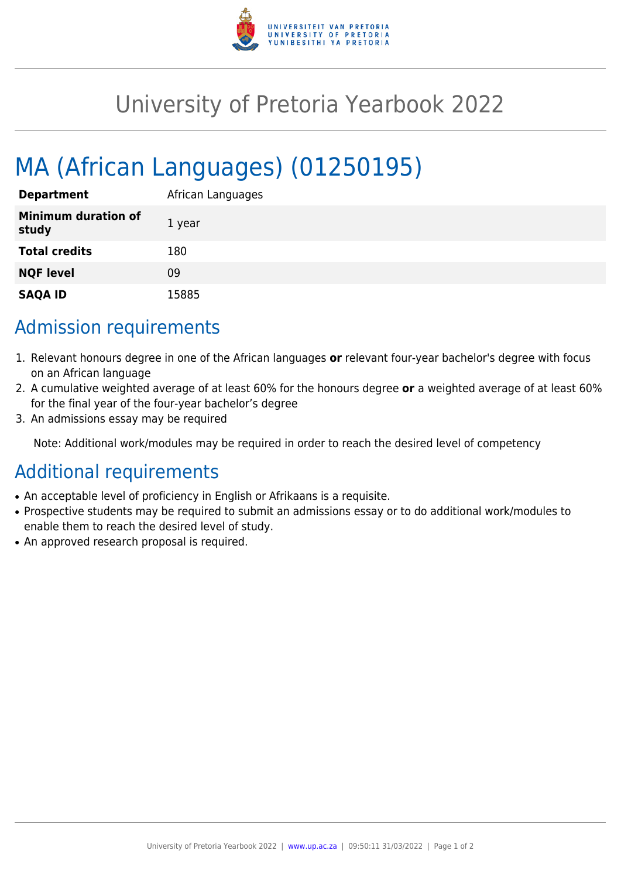

## University of Pretoria Yearbook 2022

# MA (African Languages) (01250195)

| <b>Department</b>            | African Languages |
|------------------------------|-------------------|
| Minimum duration of<br>study | 1 year            |
| <b>Total credits</b>         | 180               |
| <b>NQF level</b>             | 09                |
| <b>SAQA ID</b>               | 15885             |

### Admission requirements

- 1. Relevant honours degree in one of the African languages **or** relevant four-year bachelor's degree with focus on an African language
- 2. A cumulative weighted average of at least 60% for the honours degree **or** a weighted average of at least 60% for the final year of the four-year bachelor's degree
- 3. An admissions essay may be required

Note: Additional work/modules may be required in order to reach the desired level of competency

#### Additional requirements

- An acceptable level of proficiency in English or Afrikaans is a requisite.
- Prospective students may be required to submit an admissions essay or to do additional work/modules to enable them to reach the desired level of study.
- An approved research proposal is required.